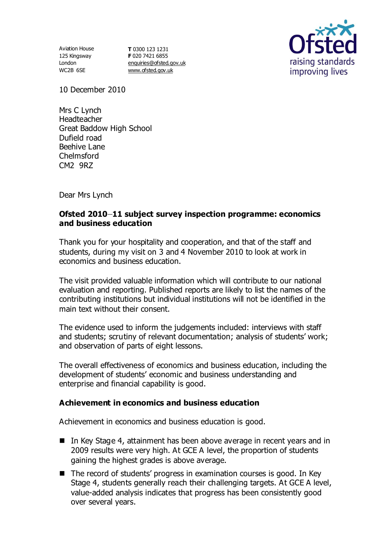Aviation House 125 Kingsway London WC2B 6SE

**T** 0300 123 1231 **F** 020 7421 6855 [enquiries@ofsted.gov.uk](mailto:enquiries@ofsted.gov.uk) [www.ofsted.gov.uk](http://www.ofsted.gov.uk/)



10 December 2010

Mrs C Lynch Headteacher Great Baddow High School Dufield road Beehive Lane Chelmsford CM2 9RZ

Dear Mrs Lynch

# **Ofsted 2010 11 subject survey inspection programme: economics and business education**

Thank you for your hospitality and cooperation, and that of the staff and students, during my visit on 3 and 4 November 2010 to look at work in economics and business education.

The visit provided valuable information which will contribute to our national evaluation and reporting. Published reports are likely to list the names of the contributing institutions but individual institutions will not be identified in the main text without their consent.

The evidence used to inform the judgements included: interviews with staff and students; scrutiny of relevant documentation; analysis of students' work; and observation of parts of eight lessons.

The overall effectiveness of economics and business education, including the development of students' economic and business understanding and enterprise and financial capability is good.

## **Achievement in economics and business education**

Achievement in economics and business education is good.

- In Key Stage 4, attainment has been above average in recent years and in 2009 results were very high. At GCE A level, the proportion of students gaining the highest grades is above average.
- $\blacksquare$  The record of students' progress in examination courses is good. In Key Stage 4, students generally reach their challenging targets. At GCE A level, value-added analysis indicates that progress has been consistently good over several years.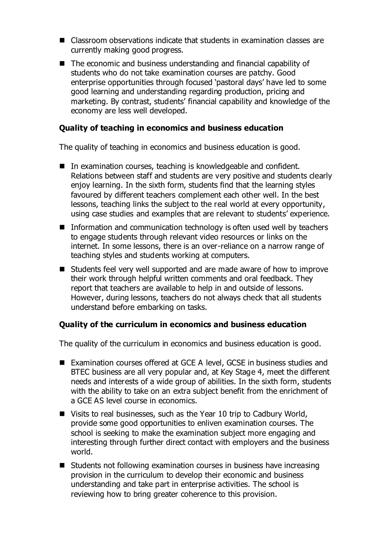- Classroom observations indicate that students in examination classes are currently making good progress.
- The economic and business understanding and financial capability of students who do not take examination courses are patchy. Good enterprise opportunities through focused 'pastoral days' have led to some good learning and understanding regarding production, pricing and marketing. By contrast, students' financial capability and knowledge of the economy are less well developed.

### **Quality of teaching in economics and business education**

The quality of teaching in economics and business education is good.

- In examination courses, teaching is knowledgeable and confident. Relations between staff and students are very positive and students clearly enjoy learning. In the sixth form, students find that the learning styles favoured by different teachers complement each other well. In the best lessons, teaching links the subject to the real world at every opportunity, using case studies and examples that are relevant to students' experience.
- Information and communication technology is often used well by teachers to engage students through relevant video resources or links on the internet. In some lessons, there is an over-reliance on a narrow range of teaching styles and students working at computers.
- Students feel very well supported and are made aware of how to improve their work through helpful written comments and oral feedback. They report that teachers are available to help in and outside of lessons. However, during lessons, teachers do not always check that all students understand before embarking on tasks.

#### **Quality of the curriculum in economics and business education**

The quality of the curriculum in economics and business education is good.

- Examination courses offered at GCE A level, GCSE in business studies and BTEC business are all very popular and, at Key Stage 4, meet the different needs and interests of a wide group of abilities. In the sixth form, students with the ability to take on an extra subject benefit from the enrichment of a GCE AS level course in economics.
- Visits to real businesses, such as the Year 10 trip to Cadbury World, provide some good opportunities to enliven examination courses. The school is seeking to make the examination subject more engaging and interesting through further direct contact with employers and the business world.
- Students not following examination courses in business have increasing provision in the curriculum to develop their economic and business understanding and take part in enterprise activities. The school is reviewing how to bring greater coherence to this provision.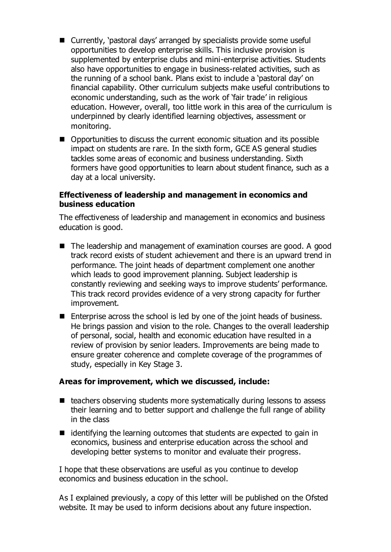- Currently, 'pastoral days' arranged by specialists provide some useful opportunities to develop enterprise skills. This inclusive provision is supplemented by enterprise clubs and mini-enterprise activities. Students also have opportunities to engage in business-related activities, such as the running of a school bank. Plans exist to include a 'pastoral day' on financial capability. Other curriculum subjects make useful contributions to economic understanding, such as the work of 'fair trade' in religious education. However, overall, too little work in this area of the curriculum is underpinned by clearly identified learning objectives, assessment or monitoring.
- Opportunities to discuss the current economic situation and its possible impact on students are rare. In the sixth form, GCE AS general studies tackles some areas of economic and business understanding. Sixth formers have good opportunities to learn about student finance, such as a day at a local university.

### **Effectiveness of leadership and management in economics and business education**

The effectiveness of leadership and management in economics and business education is good.

- The leadership and management of examination courses are good. A good track record exists of student achievement and there is an upward trend in performance. The joint heads of department complement one another which leads to good improvement planning. Subject leadership is constantly reviewing and seeking ways to improve students' performance. This track record provides evidence of a very strong capacity for further improvement.
- $\blacksquare$  Enterprise across the school is led by one of the joint heads of business. He brings passion and vision to the role. Changes to the overall leadership of personal, social, health and economic education have resulted in a review of provision by senior leaders. Improvements are being made to ensure greater coherence and complete coverage of the programmes of study, especially in Key Stage 3.

#### **Areas for improvement, which we discussed, include:**

- $\blacksquare$  teachers observing students more systematically during lessons to assess their learning and to better support and challenge the full range of ability in the class
- $\blacksquare$  identifying the learning outcomes that students are expected to gain in economics, business and enterprise education across the school and developing better systems to monitor and evaluate their progress.

I hope that these observations are useful as you continue to develop economics and business education in the school.

As I explained previously, a copy of this letter will be published on the Ofsted website. It may be used to inform decisions about any future inspection.